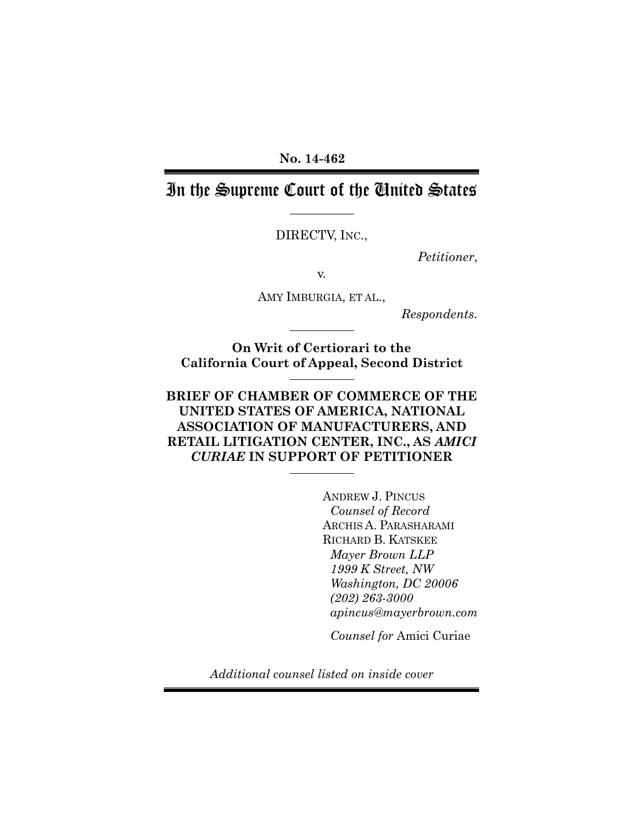**No. 14-462** 

# In the Supreme Court of the United States

DIRECTV, INC.,

*Petitioner*,

v.

AMY IMBURGIA, ET AL.,

*Respondents.*

**On Writ of Certiorari to the California Court of Appeal, Second District** 

### **BRIEF OF CHAMBER OF COMMERCE OF THE UNITED STATES OF AMERICA, NATIONAL ASSOCIATION OF MANUFACTURERS, AND RETAIL LITIGATION CENTER, INC., AS** *AMICI CURIAE* **IN SUPPORT OF PETITIONER**

ANDREW J. PINCUS *Counsel of Record*  ARCHIS A. PARASHARAMI RICHARD B. KATSKEE *Mayer Brown LLP 1999 K Street, NW Washington, DC 20006 (202) 263-3000 apincus@mayerbrown.com*

*Counsel for* Amici Curiae

*Additional counsel listed on inside cover*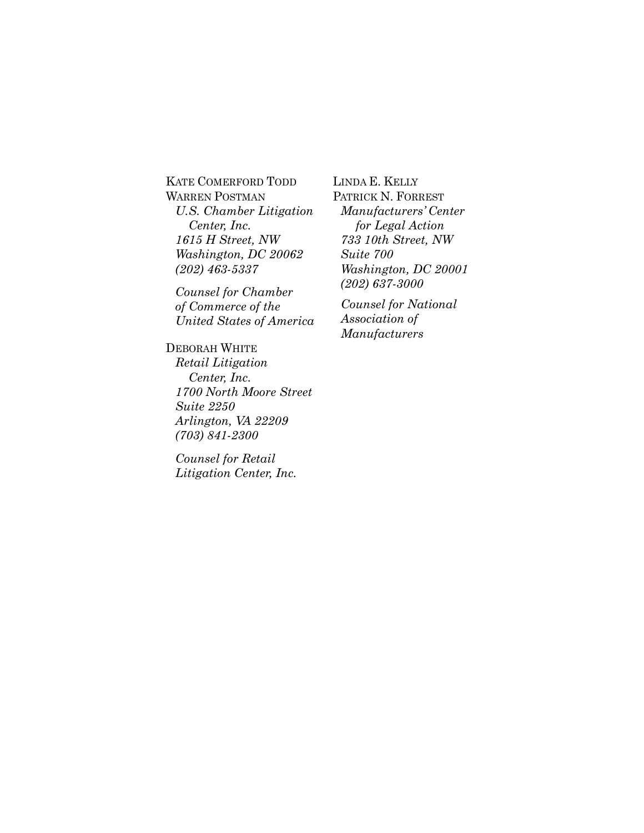KATE COMERFORD TODD WARREN POSTMAN *U.S. Chamber Litigation Center, Inc. 1615 H Street, NW Washington, DC 20062 (202) 463-5337* 

*Counsel for Chamber of Commerce of the United States of America* 

DEBORAH WHITE *Retail Litigation Center, Inc. 1700 North Moore Street Suite 2250 Arlington, VA 22209 (703) 841-2300* 

*Counsel for Retail Litigation Center, Inc.* LINDA E. KELLY PATRICK N. FORREST *Manufacturers' Center for Legal Action 733 10th Street, NW Suite 700 Washington, DC 20001 (202) 637-3000*

*Counsel for National Association of Manufacturers*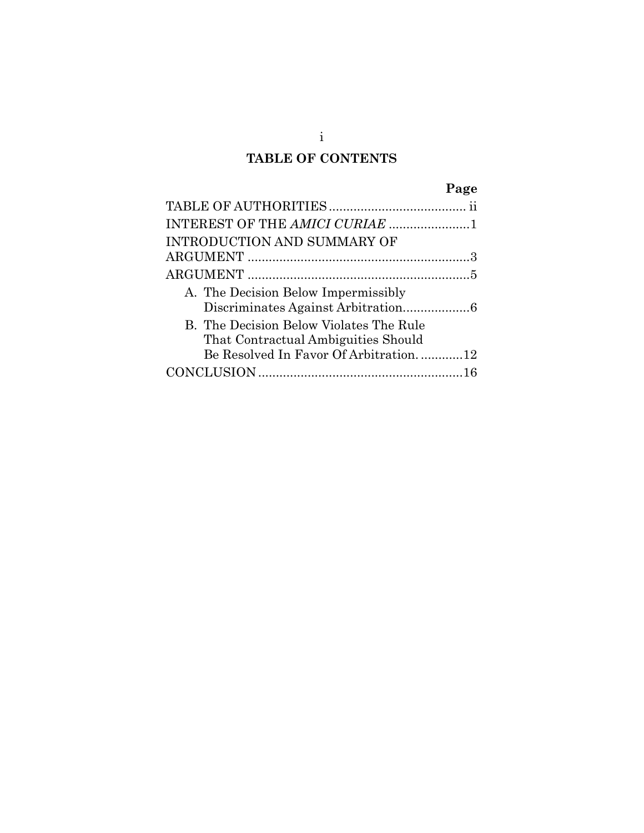## **TABLE OF CONTENTS**

|                                                                                | Page |
|--------------------------------------------------------------------------------|------|
|                                                                                |      |
|                                                                                |      |
| INTRODUCTION AND SUMMARY OF                                                    |      |
|                                                                                |      |
|                                                                                |      |
| A. The Decision Below Impermissibly                                            |      |
| B. The Decision Below Violates The Rule<br>That Contractual Ambiguities Should |      |
| Be Resolved In Favor Of Arbitration12                                          |      |
|                                                                                |      |

i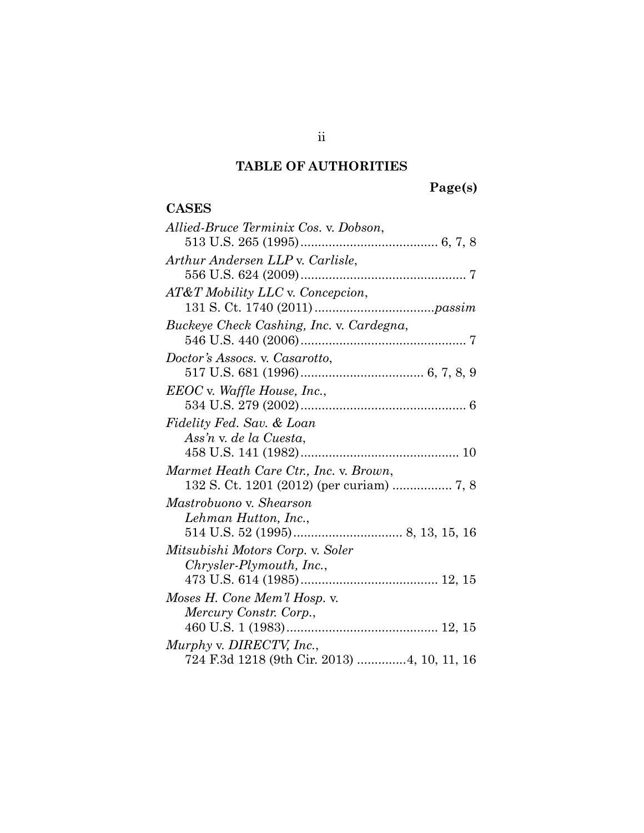# **TABLE OF AUTHORITIES**

**Page(s)** 

## **CASES**

| Allied-Bruce Terminix Cos. v. Dobson,       |
|---------------------------------------------|
|                                             |
| Arthur Andersen LLP v. Carlisle,            |
|                                             |
| AT&T Mobility LLC v. Concepcion,            |
|                                             |
| Buckeye Check Cashing, Inc. v. Cardegna,    |
|                                             |
| Doctor's Assocs. v. Casarotto,              |
|                                             |
| EEOC v. Waffle House, Inc.,                 |
|                                             |
| Fidelity Fed. Sav. & Loan                   |
| Ass'n v. de la Cuesta,                      |
|                                             |
| Marmet Heath Care Ctr., Inc. v. Brown,      |
|                                             |
| Mastrobuono v. Shearson                     |
| Lehman Hutton, Inc.,                        |
|                                             |
| Mitsubishi Motors Corp. v. Soler            |
| Chrysler-Plymouth, Inc.,                    |
|                                             |
| Moses H. Cone Mem'l Hosp. v.                |
| Mercury Constr. Corp.,                      |
|                                             |
| Murphy v. DIRECTV, Inc.,                    |
| 724 F.3d 1218 (9th Cir. 2013) 4, 10, 11, 16 |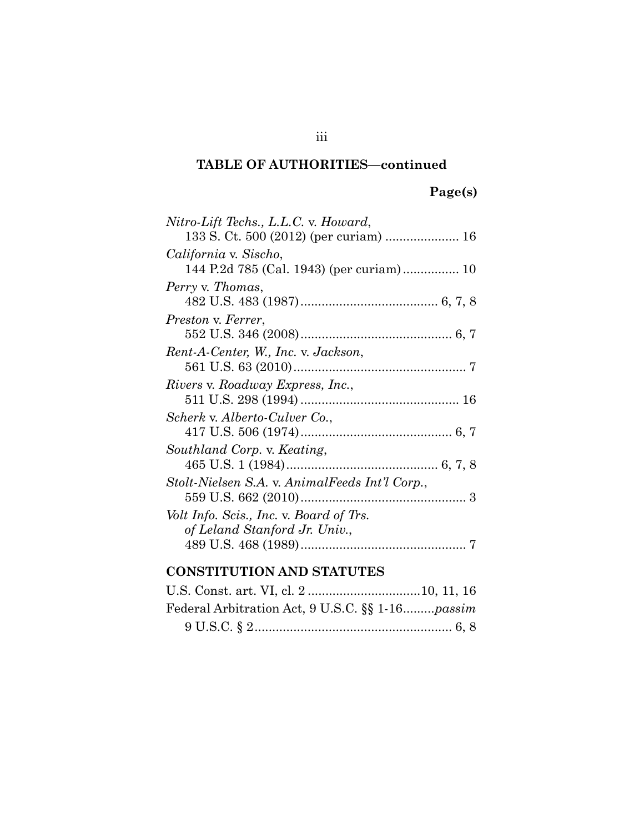## **TABLE OF AUTHORITIES—continued**

## **Page(s)**

| Nitro-Lift Techs., L.L.C. v. Howard,           |
|------------------------------------------------|
|                                                |
| California v. Sischo,                          |
| 144 P.2d 785 (Cal. 1943) (per curiam) 10       |
| Perry v. Thomas,                               |
|                                                |
| Preston v. Ferrer,                             |
|                                                |
| Rent-A-Center, W., Inc. v. Jackson,            |
|                                                |
| Rivers v. Roadway Express, Inc.,               |
|                                                |
| Scherk v. Alberto-Culver Co.,                  |
|                                                |
| Southland Corp. v. Keating,                    |
|                                                |
| Stolt-Nielsen S.A. v. AnimalFeeds Int'l Corp., |
|                                                |
| Volt Info. Scis., Inc. v. Board of Trs.        |
| of Leland Stanford Jr. Univ.,                  |
|                                                |
|                                                |

## **CONSTITUTION AND STATUTES**

| Federal Arbitration Act, 9 U.S.C. §§ 1-16passim |  |
|-------------------------------------------------|--|
|                                                 |  |

iii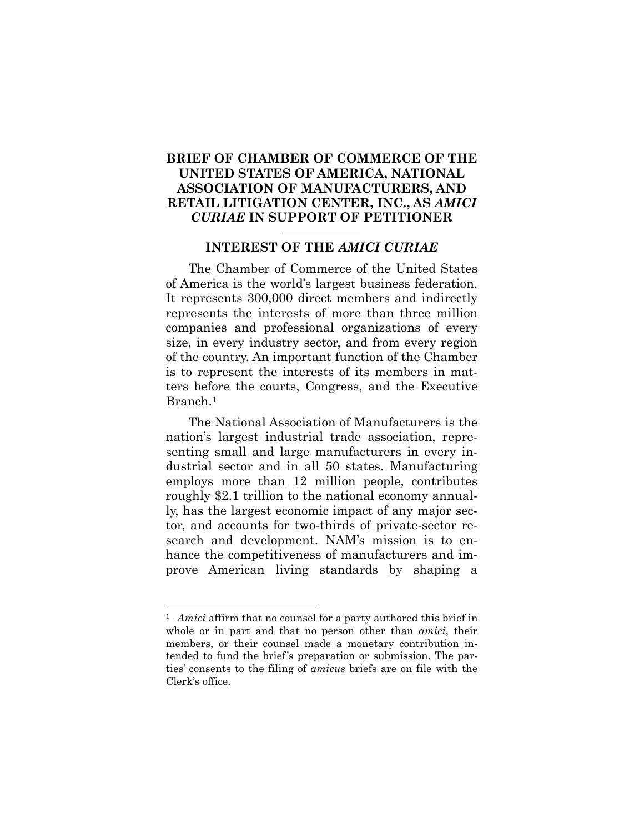### **BRIEF OF CHAMBER OF COMMERCE OF THE UNITED STATES OF AMERICA, NATIONAL ASSOCIATION OF MANUFACTURERS, AND RETAIL LITIGATION CENTER, INC., AS** *AMICI CURIAE* **IN SUPPORT OF PETITIONER**

#### **INTEREST OF THE** *AMICI CURIAE*

The Chamber of Commerce of the United States of America is the world's largest business federation. It represents 300,000 direct members and indirectly represents the interests of more than three million companies and professional organizations of every size, in every industry sector, and from every region of the country. An important function of the Chamber is to represent the interests of its members in matters before the courts, Congress, and the Executive Branch.1

The National Association of Manufacturers is the nation's largest industrial trade association, representing small and large manufacturers in every industrial sector and in all 50 states. Manufacturing employs more than 12 million people, contributes roughly \$2.1 trillion to the national economy annually, has the largest economic impact of any major sector, and accounts for two-thirds of private-sector research and development. NAM's mission is to enhance the competitiveness of manufacturers and improve American living standards by shaping a

l

<sup>&</sup>lt;sup>1</sup> *Amici* affirm that no counsel for a party authored this brief in whole or in part and that no person other than *amici*, their members, or their counsel made a monetary contribution intended to fund the brief's preparation or submission. The parties' consents to the filing of *amicus* briefs are on file with the Clerk's office.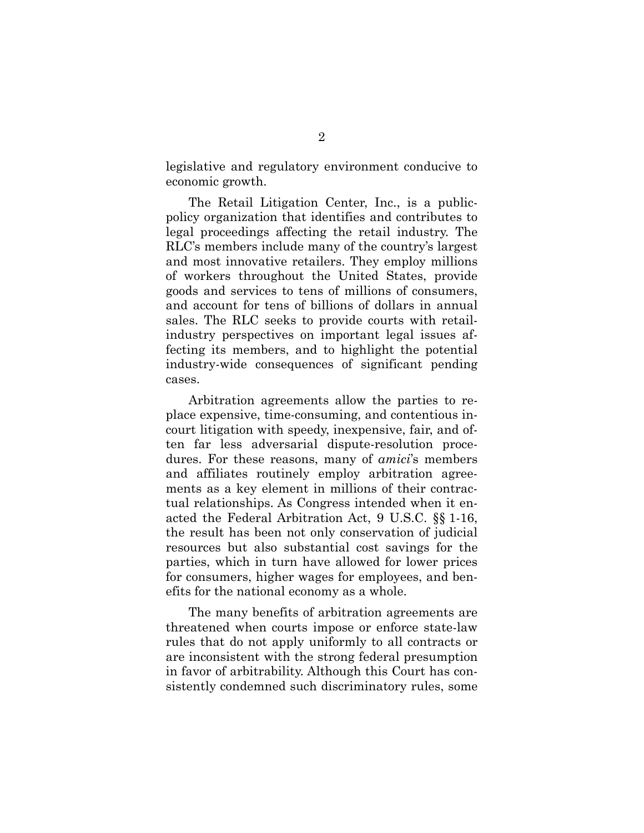legislative and regulatory environment conducive to economic growth.

The Retail Litigation Center, Inc., is a publicpolicy organization that identifies and contributes to legal proceedings affecting the retail industry. The RLC's members include many of the country's largest and most innovative retailers. They employ millions of workers throughout the United States, provide goods and services to tens of millions of consumers, and account for tens of billions of dollars in annual sales. The RLC seeks to provide courts with retailindustry perspectives on important legal issues affecting its members, and to highlight the potential industry-wide consequences of significant pending cases.

Arbitration agreements allow the parties to replace expensive, time-consuming, and contentious incourt litigation with speedy, inexpensive, fair, and often far less adversarial dispute-resolution procedures. For these reasons, many of *amici*'s members and affiliates routinely employ arbitration agreements as a key element in millions of their contractual relationships. As Congress intended when it enacted the Federal Arbitration Act, 9 U.S.C. §§ 1-16, the result has been not only conservation of judicial resources but also substantial cost savings for the parties, which in turn have allowed for lower prices for consumers, higher wages for employees, and benefits for the national economy as a whole.

The many benefits of arbitration agreements are threatened when courts impose or enforce state-law rules that do not apply uniformly to all contracts or are inconsistent with the strong federal presumption in favor of arbitrability. Although this Court has consistently condemned such discriminatory rules, some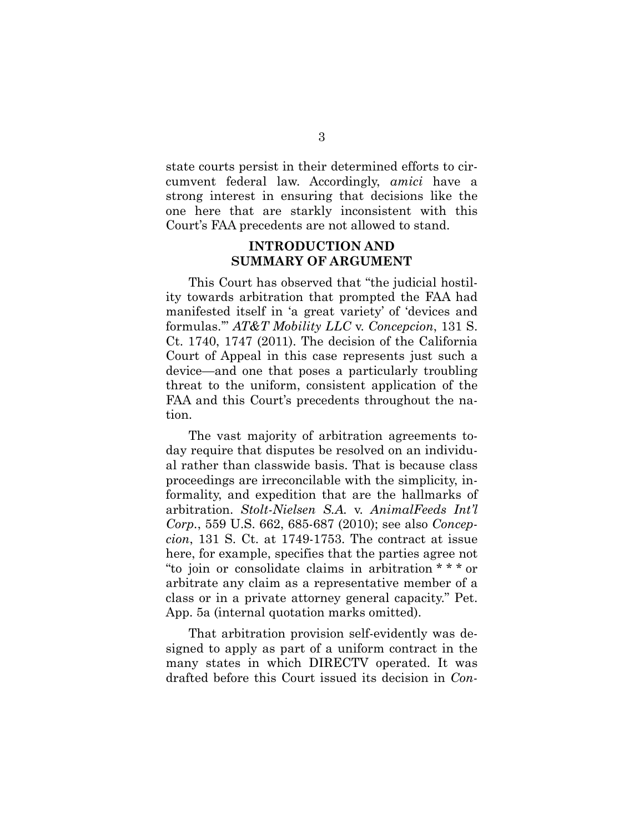state courts persist in their determined efforts to circumvent federal law. Accordingly, *amici* have a strong interest in ensuring that decisions like the one here that are starkly inconsistent with this Court's FAA precedents are not allowed to stand.

### **INTRODUCTION AND SUMMARY OF ARGUMENT**

This Court has observed that "the judicial hostility towards arbitration that prompted the FAA had manifested itself in 'a great variety' of 'devices and formulas.'" *AT&T Mobility LLC* v. *Concepcion*, 131 S. Ct. 1740, 1747 (2011). The decision of the California Court of Appeal in this case represents just such a device—and one that poses a particularly troubling threat to the uniform, consistent application of the FAA and this Court's precedents throughout the nation.

The vast majority of arbitration agreements today require that disputes be resolved on an individual rather than classwide basis. That is because class proceedings are irreconcilable with the simplicity, informality, and expedition that are the hallmarks of arbitration. *Stolt-Nielsen S.A.* v. *AnimalFeeds Int'l Corp.*, 559 U.S. 662, 685-687 (2010); see also *Concepcion*, 131 S. Ct. at 1749-1753. The contract at issue here, for example, specifies that the parties agree not "to join or consolidate claims in arbitration \* \* \* or arbitrate any claim as a representative member of a class or in a private attorney general capacity." Pet. App. 5a (internal quotation marks omitted).

That arbitration provision self-evidently was designed to apply as part of a uniform contract in the many states in which DIRECTV operated. It was drafted before this Court issued its decision in *Con-*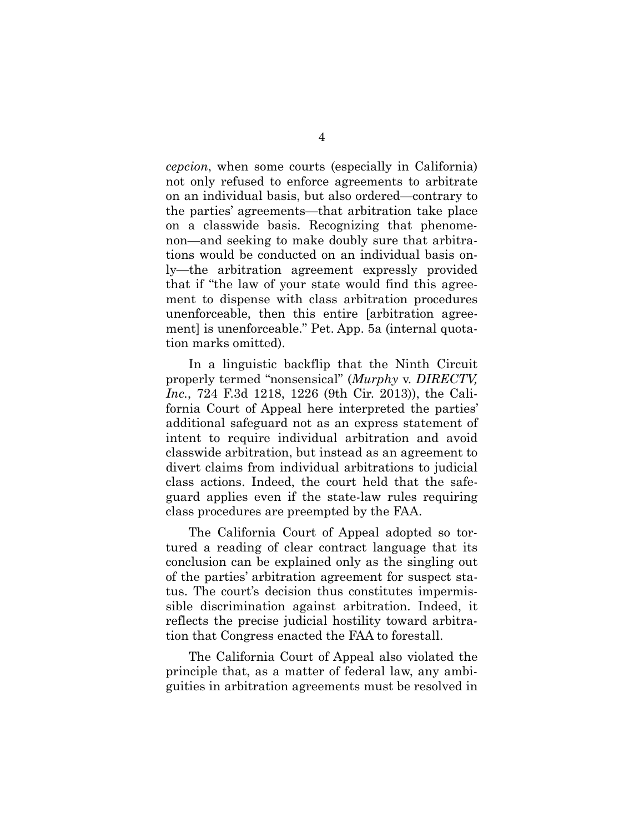*cepcion*, when some courts (especially in California) not only refused to enforce agreements to arbitrate on an individual basis, but also ordered—contrary to the parties' agreements—that arbitration take place on a classwide basis. Recognizing that phenomenon—and seeking to make doubly sure that arbitrations would be conducted on an individual basis only—the arbitration agreement expressly provided that if "the law of your state would find this agreement to dispense with class arbitration procedures unenforceable, then this entire [arbitration agreement] is unenforceable." Pet. App. 5a (internal quotation marks omitted).

In a linguistic backflip that the Ninth Circuit properly termed "nonsensical" (*Murphy* v. *DIRECTV, Inc.*, 724 F.3d 1218, 1226 (9th Cir. 2013)), the California Court of Appeal here interpreted the parties' additional safeguard not as an express statement of intent to require individual arbitration and avoid classwide arbitration, but instead as an agreement to divert claims from individual arbitrations to judicial class actions. Indeed, the court held that the safeguard applies even if the state-law rules requiring class procedures are preempted by the FAA.

The California Court of Appeal adopted so tortured a reading of clear contract language that its conclusion can be explained only as the singling out of the parties' arbitration agreement for suspect status. The court's decision thus constitutes impermissible discrimination against arbitration. Indeed, it reflects the precise judicial hostility toward arbitration that Congress enacted the FAA to forestall.

The California Court of Appeal also violated the principle that, as a matter of federal law, any ambiguities in arbitration agreements must be resolved in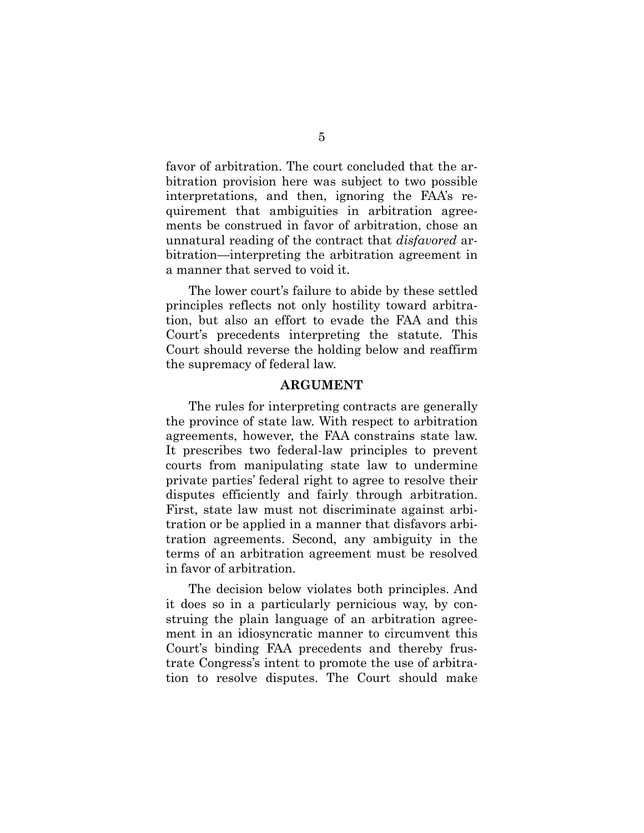favor of arbitration. The court concluded that the arbitration provision here was subject to two possible interpretations, and then, ignoring the FAA's requirement that ambiguities in arbitration agreements be construed in favor of arbitration, chose an unnatural reading of the contract that *disfavored* arbitration—interpreting the arbitration agreement in a manner that served to void it.

The lower court's failure to abide by these settled principles reflects not only hostility toward arbitration, but also an effort to evade the FAA and this Court's precedents interpreting the statute. This Court should reverse the holding below and reaffirm the supremacy of federal law.

#### **ARGUMENT**

The rules for interpreting contracts are generally the province of state law. With respect to arbitration agreements, however, the FAA constrains state law. It prescribes two federal-law principles to prevent courts from manipulating state law to undermine private parties' federal right to agree to resolve their disputes efficiently and fairly through arbitration. First, state law must not discriminate against arbitration or be applied in a manner that disfavors arbitration agreements. Second, any ambiguity in the terms of an arbitration agreement must be resolved in favor of arbitration.

The decision below violates both principles. And it does so in a particularly pernicious way, by construing the plain language of an arbitration agreement in an idiosyncratic manner to circumvent this Court's binding FAA precedents and thereby frustrate Congress's intent to promote the use of arbitration to resolve disputes. The Court should make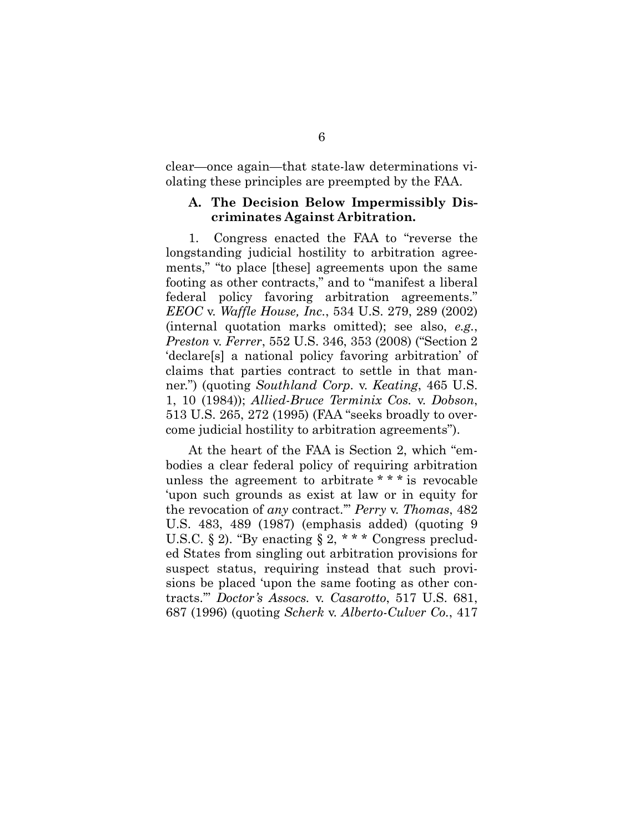clear—once again—that state-law determinations violating these principles are preempted by the FAA.

### **A. The Decision Below Impermissibly Discriminates Against Arbitration.**

1. Congress enacted the FAA to "reverse the longstanding judicial hostility to arbitration agreements," "to place [these] agreements upon the same footing as other contracts," and to "manifest a liberal federal policy favoring arbitration agreements." *EEOC* v. *Waffle House, Inc.*, 534 U.S. 279, 289 (2002) (internal quotation marks omitted); see also, *e.g.*, *Preston* v. *Ferrer*, 552 U.S. 346, 353 (2008) ("Section 2 'declare[s] a national policy favoring arbitration' of claims that parties contract to settle in that manner.") (quoting *Southland Corp.* v. *Keating*, 465 U.S. 1, 10 (1984)); *Allied-Bruce Terminix Cos.* v. *Dobson*, 513 U.S. 265, 272 (1995) (FAA "seeks broadly to overcome judicial hostility to arbitration agreements").

At the heart of the FAA is Section 2, which "embodies a clear federal policy of requiring arbitration unless the agreement to arbitrate \* \* \* is revocable 'upon such grounds as exist at law or in equity for the revocation of *any* contract.'" *Perry* v. *Thomas*, 482 U.S. 483, 489 (1987) (emphasis added) (quoting 9 U.S.C. § 2). "By enacting § 2,  $***$  Congress precluded States from singling out arbitration provisions for suspect status, requiring instead that such provisions be placed 'upon the same footing as other contracts.'" *Doctor's Assocs.* v. *Casarotto*, 517 U.S. 681, 687 (1996) (quoting *Scherk* v. *Alberto-Culver Co.*, 417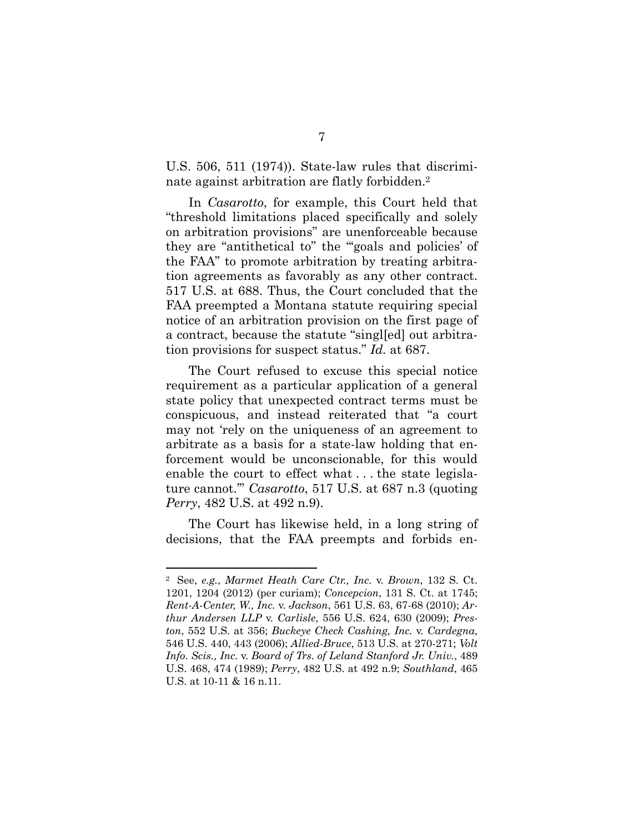U.S. 506, 511 (1974)). State-law rules that discriminate against arbitration are flatly forbidden.2

In *Casarotto*, for example, this Court held that "threshold limitations placed specifically and solely on arbitration provisions" are unenforceable because they are "antithetical to" the "'goals and policies' of the FAA" to promote arbitration by treating arbitration agreements as favorably as any other contract. 517 U.S. at 688. Thus, the Court concluded that the FAA preempted a Montana statute requiring special notice of an arbitration provision on the first page of a contract, because the statute "singl[ed] out arbitration provisions for suspect status." *Id.* at 687.

The Court refused to excuse this special notice requirement as a particular application of a general state policy that unexpected contract terms must be conspicuous, and instead reiterated that "a court may not 'rely on the uniqueness of an agreement to arbitrate as a basis for a state-law holding that enforcement would be unconscionable, for this would enable the court to effect what . . . the state legislature cannot.'" *Casarotto*, 517 U.S. at 687 n.3 (quoting *Perry*, 482 U.S. at 492 n.9).

The Court has likewise held, in a long string of decisions, that the FAA preempts and forbids en-

l

<sup>2</sup> See, *e.g.*, *Marmet Heath Care Ctr., Inc.* v. *Brown*, 132 S. Ct. 1201, 1204 (2012) (per curiam); *Concepcion*, 131 S. Ct. at 1745; *Rent-A-Center, W., Inc.* v. *Jackson*, 561 U.S. 63, 67-68 (2010); *Arthur Andersen LLP* v. *Carlisle*, 556 U.S. 624, 630 (2009); *Preston*, 552 U.S. at 356; *Buckeye Check Cashing, Inc.* v. *Cardegna*, 546 U.S. 440, 443 (2006); *Allied-Bruce*, 513 U.S. at 270-271; *Volt Info. Scis., Inc.* v. *Board of Trs. of Leland Stanford Jr. Univ.*, 489 U.S. 468, 474 (1989); *Perry*, 482 U.S. at 492 n.9; *Southland*, 465 U.S. at 10-11 & 16 n.11.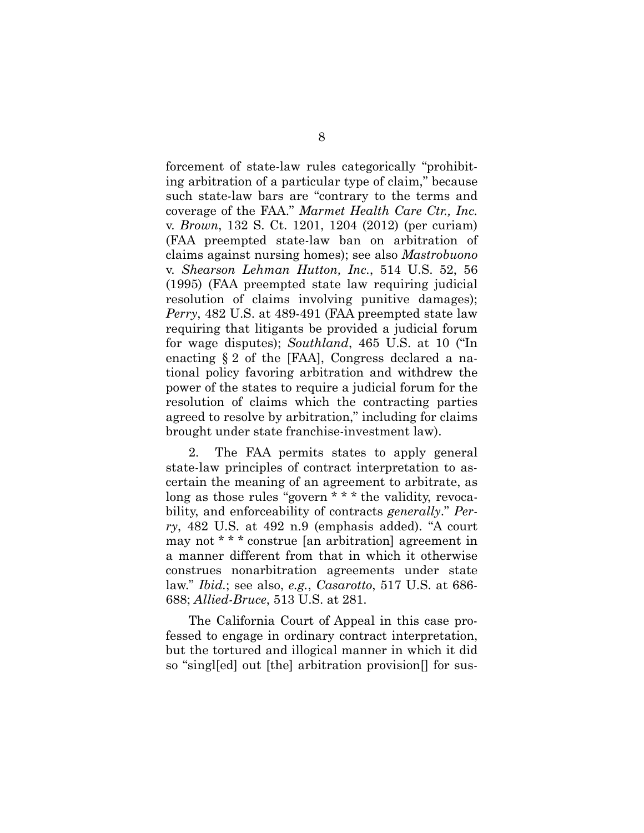forcement of state-law rules categorically "prohibiting arbitration of a particular type of claim," because such state-law bars are "contrary to the terms and coverage of the FAA." *Marmet Health Care Ctr., Inc.* v. *Brown*, 132 S. Ct. 1201, 1204 (2012) (per curiam) (FAA preempted state-law ban on arbitration of claims against nursing homes); see also *Mastrobuono*  v. *Shearson Lehman Hutton, Inc.*, 514 U.S. 52, 56 (1995) (FAA preempted state law requiring judicial resolution of claims involving punitive damages); *Perry*, 482 U.S. at 489-491 (FAA preempted state law requiring that litigants be provided a judicial forum for wage disputes); *Southland*, 465 U.S. at 10 ("In enacting § 2 of the [FAA], Congress declared a national policy favoring arbitration and withdrew the power of the states to require a judicial forum for the resolution of claims which the contracting parties agreed to resolve by arbitration," including for claims brought under state franchise-investment law).

2. The FAA permits states to apply general state-law principles of contract interpretation to ascertain the meaning of an agreement to arbitrate, as long as those rules "govern \* \* \* the validity, revocability, and enforceability of contracts *generally*." *Perry*, 482 U.S. at 492 n.9 (emphasis added). "A court may not \* \* \* construe [an arbitration] agreement in a manner different from that in which it otherwise construes nonarbitration agreements under state law." *Ibid.*; see also, *e.g.*, *Casarotto*, 517 U.S. at 686- 688; *Allied-Bruce*, 513 U.S. at 281.

The California Court of Appeal in this case professed to engage in ordinary contract interpretation, but the tortured and illogical manner in which it did so "singl[ed] out [the] arbitration provision[] for sus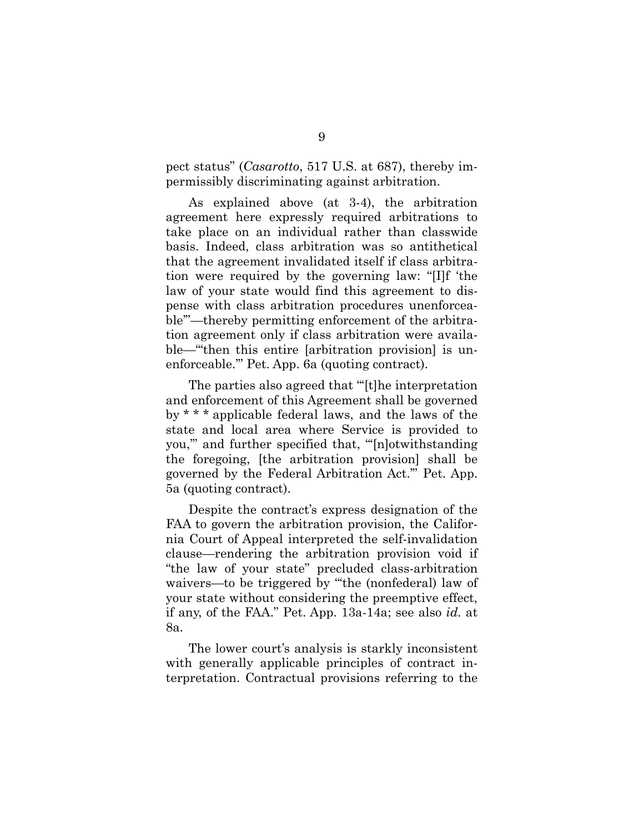pect status" (*Casarotto*, 517 U.S. at 687), thereby impermissibly discriminating against arbitration.

As explained above (at 3-4), the arbitration agreement here expressly required arbitrations to take place on an individual rather than classwide basis. Indeed, class arbitration was so antithetical that the agreement invalidated itself if class arbitration were required by the governing law: "[I]f 'the law of your state would find this agreement to dispense with class arbitration procedures unenforceable'"—thereby permitting enforcement of the arbitration agreement only if class arbitration were available—"'then this entire [arbitration provision] is unenforceable.'" Pet. App. 6a (quoting contract).

The parties also agreed that "'[t]he interpretation and enforcement of this Agreement shall be governed by \* \* \* applicable federal laws, and the laws of the state and local area where Service is provided to you,'" and further specified that, "'[n]otwithstanding the foregoing, [the arbitration provision] shall be governed by the Federal Arbitration Act.'" Pet. App. 5a (quoting contract).

Despite the contract's express designation of the FAA to govern the arbitration provision, the California Court of Appeal interpreted the self-invalidation clause—rendering the arbitration provision void if "the law of your state" precluded class-arbitration waivers—to be triggered by "the (nonfederal) law of your state without considering the preemptive effect, if any, of the FAA." Pet. App. 13a-14a; see also *id.* at 8a.

The lower court's analysis is starkly inconsistent with generally applicable principles of contract interpretation. Contractual provisions referring to the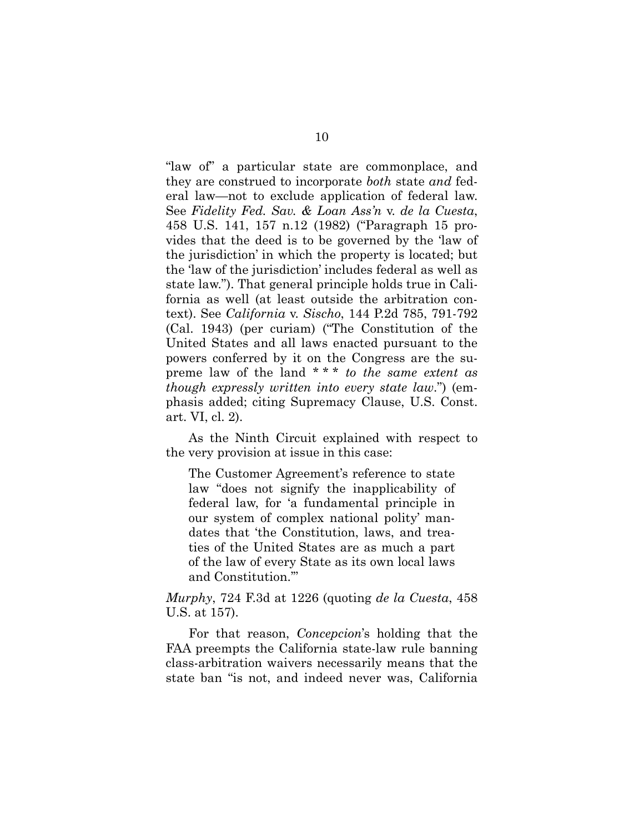"law of" a particular state are commonplace, and they are construed to incorporate *both* state *and* federal law—not to exclude application of federal law. See *Fidelity Fed. Sav. & Loan Ass'n* v. *de la Cuesta*, 458 U.S. 141, 157 n.12 (1982) ("Paragraph 15 provides that the deed is to be governed by the 'law of the jurisdiction' in which the property is located; but the 'law of the jurisdiction' includes federal as well as state law."). That general principle holds true in California as well (at least outside the arbitration context). See *California* v. *Sischo*, 144 P.2d 785, 791-792 (Cal. 1943) (per curiam) ("The Constitution of the United States and all laws enacted pursuant to the powers conferred by it on the Congress are the supreme law of the land \* \* \* *to the same extent as though expressly written into every state law*.") (emphasis added; citing Supremacy Clause, U.S. Const. art. VI, cl. 2).

As the Ninth Circuit explained with respect to the very provision at issue in this case:

The Customer Agreement's reference to state law "does not signify the inapplicability of federal law, for 'a fundamental principle in our system of complex national polity' mandates that 'the Constitution, laws, and treaties of the United States are as much a part of the law of every State as its own local laws and Constitution.'"

*Murphy*, 724 F.3d at 1226 (quoting *de la Cuesta*, 458 U.S. at 157).

For that reason, *Concepcion*'s holding that the FAA preempts the California state-law rule banning class-arbitration waivers necessarily means that the state ban "is not, and indeed never was, California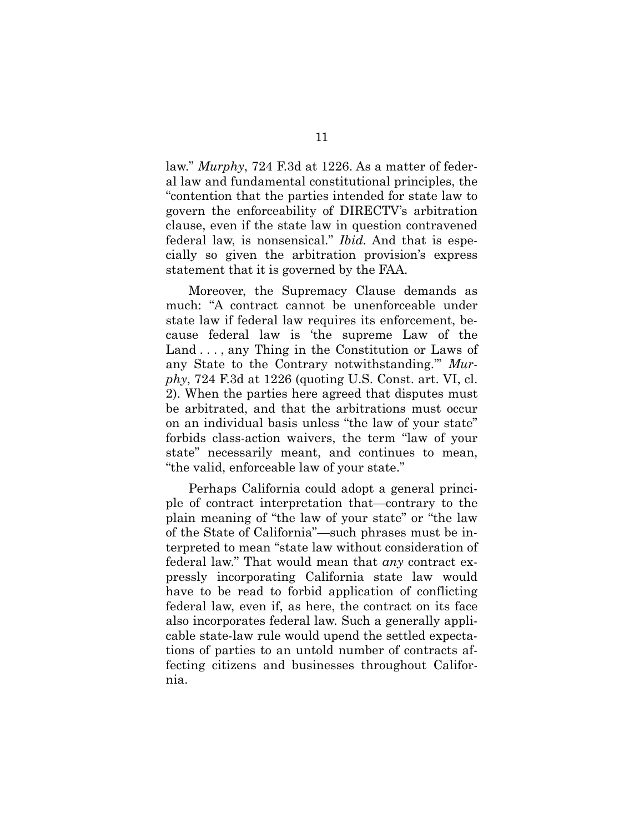law." *Murphy*, 724 F.3d at 1226. As a matter of federal law and fundamental constitutional principles, the "contention that the parties intended for state law to govern the enforceability of DIRECTV's arbitration clause, even if the state law in question contravened federal law, is nonsensical." *Ibid.* And that is especially so given the arbitration provision's express statement that it is governed by the FAA.

Moreover, the Supremacy Clause demands as much: "A contract cannot be unenforceable under state law if federal law requires its enforcement, because federal law is 'the supreme Law of the Land . . . , any Thing in the Constitution or Laws of any State to the Contrary notwithstanding.'" *Murphy*, 724 F.3d at 1226 (quoting U.S. Const. art. VI, cl. 2). When the parties here agreed that disputes must be arbitrated, and that the arbitrations must occur on an individual basis unless "the law of your state" forbids class-action waivers, the term "law of your state" necessarily meant, and continues to mean, "the valid, enforceable law of your state."

Perhaps California could adopt a general principle of contract interpretation that—contrary to the plain meaning of "the law of your state" or "the law of the State of California"—such phrases must be interpreted to mean "state law without consideration of federal law." That would mean that *any* contract expressly incorporating California state law would have to be read to forbid application of conflicting federal law, even if, as here, the contract on its face also incorporates federal law. Such a generally applicable state-law rule would upend the settled expectations of parties to an untold number of contracts affecting citizens and businesses throughout California.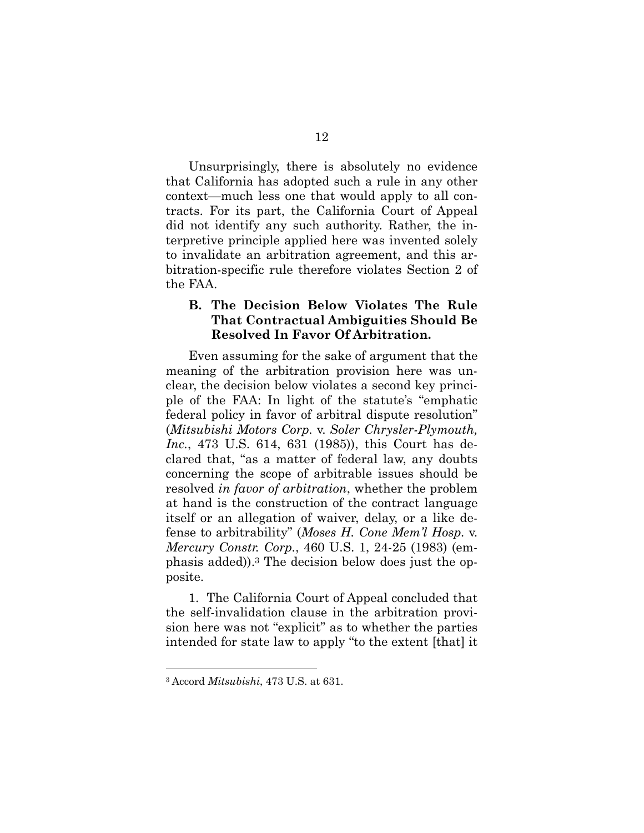Unsurprisingly, there is absolutely no evidence that California has adopted such a rule in any other context—much less one that would apply to all contracts. For its part, the California Court of Appeal did not identify any such authority. Rather, the interpretive principle applied here was invented solely to invalidate an arbitration agreement, and this arbitration-specific rule therefore violates Section 2 of the FAA.

### **B. The Decision Below Violates The Rule That Contractual Ambiguities Should Be Resolved In Favor Of Arbitration.**

Even assuming for the sake of argument that the meaning of the arbitration provision here was unclear, the decision below violates a second key principle of the FAA: In light of the statute's "emphatic federal policy in favor of arbitral dispute resolution" (*Mitsubishi Motors Corp.* v. *Soler Chrysler-Plymouth, Inc.*, 473 U.S. 614, 631 (1985)), this Court has declared that, "as a matter of federal law, any doubts concerning the scope of arbitrable issues should be resolved *in favor of arbitration*, whether the problem at hand is the construction of the contract language itself or an allegation of waiver, delay, or a like defense to arbitrability" (*Moses H. Cone Mem'l Hosp.* v. *Mercury Constr. Corp.*, 460 U.S. 1, 24-25 (1983) (emphasis added)).3 The decision below does just the opposite.

1. The California Court of Appeal concluded that the self-invalidation clause in the arbitration provision here was not "explicit" as to whether the parties intended for state law to apply "to the extent [that] it

l

<sup>3</sup> Accord *Mitsubishi*, 473 U.S. at 631.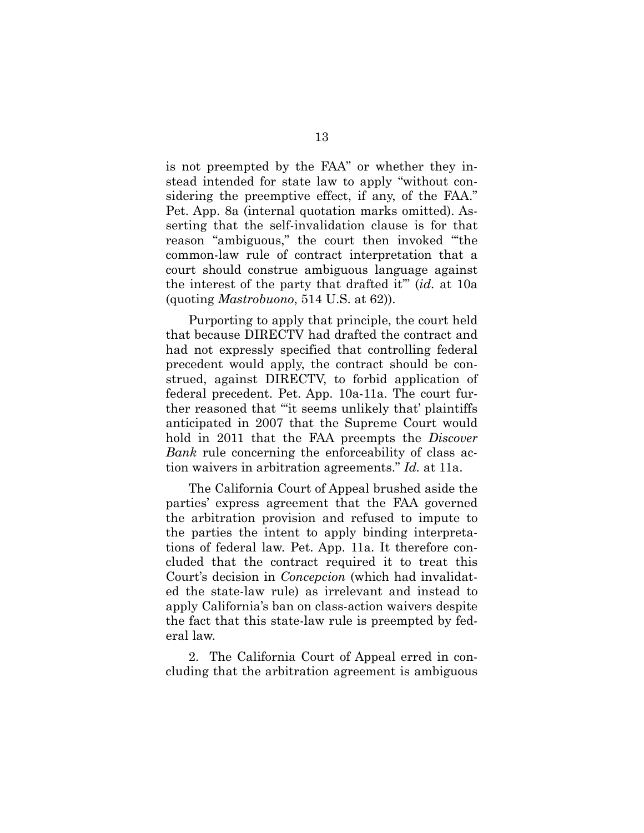is not preempted by the FAA" or whether they instead intended for state law to apply "without considering the preemptive effect, if any, of the FAA." Pet. App. 8a (internal quotation marks omitted). Asserting that the self-invalidation clause is for that reason "ambiguous," the court then invoked "'the common-law rule of contract interpretation that a court should construe ambiguous language against the interest of the party that drafted it'" (*id.* at 10a (quoting *Mastrobuono*, 514 U.S. at 62)).

Purporting to apply that principle, the court held that because DIRECTV had drafted the contract and had not expressly specified that controlling federal precedent would apply, the contract should be construed, against DIRECTV, to forbid application of federal precedent. Pet. App. 10a-11a. The court further reasoned that "'it seems unlikely that' plaintiffs anticipated in 2007 that the Supreme Court would hold in 2011 that the FAA preempts the *Discover Bank* rule concerning the enforceability of class action waivers in arbitration agreements." *Id.* at 11a.

The California Court of Appeal brushed aside the parties' express agreement that the FAA governed the arbitration provision and refused to impute to the parties the intent to apply binding interpretations of federal law. Pet. App. 11a. It therefore concluded that the contract required it to treat this Court's decision in *Concepcion* (which had invalidated the state-law rule) as irrelevant and instead to apply California's ban on class-action waivers despite the fact that this state-law rule is preempted by federal law.

2. The California Court of Appeal erred in concluding that the arbitration agreement is ambiguous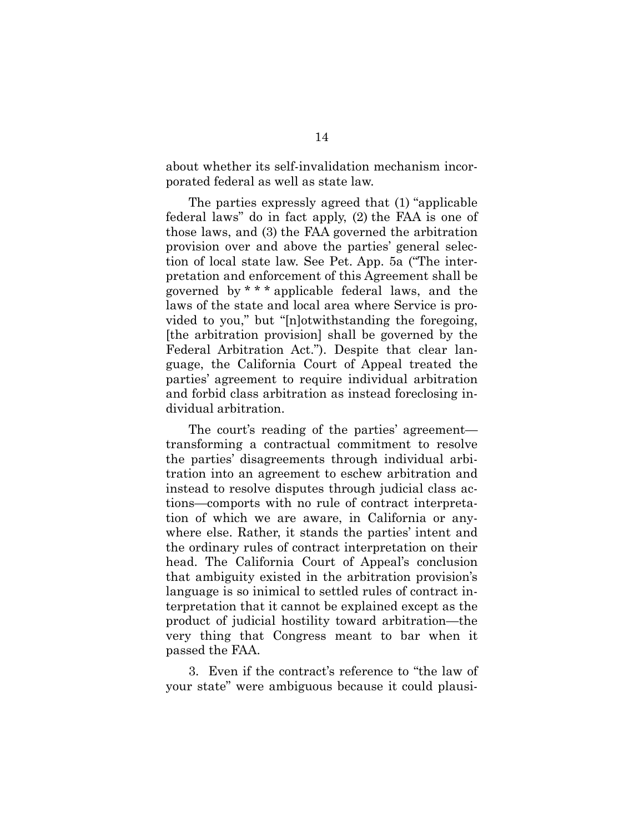about whether its self-invalidation mechanism incorporated federal as well as state law.

The parties expressly agreed that (1) "applicable federal laws" do in fact apply, (2) the FAA is one of those laws, and (3) the FAA governed the arbitration provision over and above the parties' general selection of local state law. See Pet. App. 5a ("The interpretation and enforcement of this Agreement shall be governed by \* \* \* applicable federal laws, and the laws of the state and local area where Service is provided to you," but "[n]otwithstanding the foregoing, [the arbitration provision] shall be governed by the Federal Arbitration Act."). Despite that clear language, the California Court of Appeal treated the parties' agreement to require individual arbitration and forbid class arbitration as instead foreclosing individual arbitration.

The court's reading of the parties' agreement transforming a contractual commitment to resolve the parties' disagreements through individual arbitration into an agreement to eschew arbitration and instead to resolve disputes through judicial class actions—comports with no rule of contract interpretation of which we are aware, in California or anywhere else. Rather, it stands the parties' intent and the ordinary rules of contract interpretation on their head. The California Court of Appeal's conclusion that ambiguity existed in the arbitration provision's language is so inimical to settled rules of contract interpretation that it cannot be explained except as the product of judicial hostility toward arbitration—the very thing that Congress meant to bar when it passed the FAA.

3. Even if the contract's reference to "the law of your state" were ambiguous because it could plausi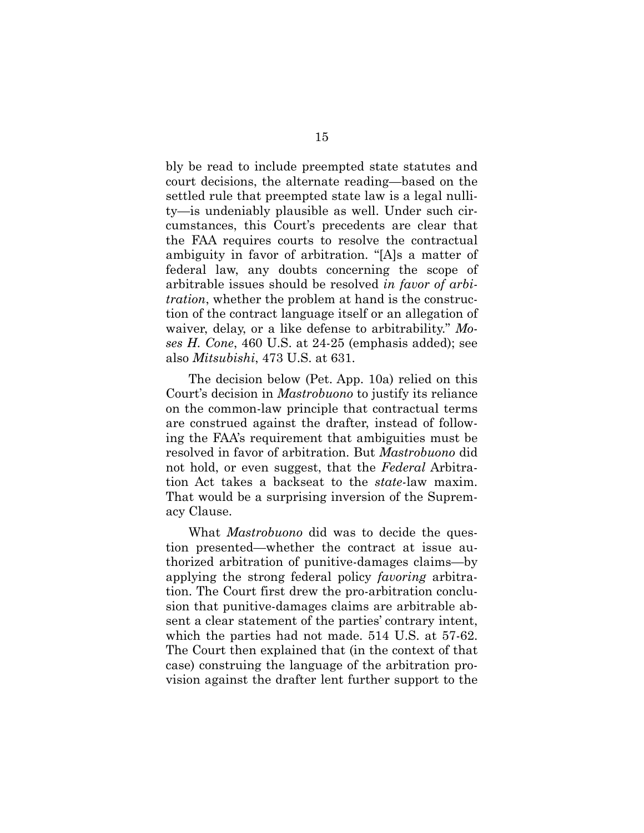bly be read to include preempted state statutes and court decisions, the alternate reading—based on the settled rule that preempted state law is a legal nullity—is undeniably plausible as well. Under such circumstances, this Court's precedents are clear that the FAA requires courts to resolve the contractual ambiguity in favor of arbitration. "[A]s a matter of federal law, any doubts concerning the scope of arbitrable issues should be resolved *in favor of arbitration*, whether the problem at hand is the construction of the contract language itself or an allegation of waiver, delay, or a like defense to arbitrability." *Moses H. Cone*, 460 U.S. at 24-25 (emphasis added); see also *Mitsubishi*, 473 U.S. at 631.

The decision below (Pet. App. 10a) relied on this Court's decision in *Mastrobuono* to justify its reliance on the common-law principle that contractual terms are construed against the drafter, instead of following the FAA's requirement that ambiguities must be resolved in favor of arbitration. But *Mastrobuono* did not hold, or even suggest, that the *Federal* Arbitration Act takes a backseat to the *state-*law maxim. That would be a surprising inversion of the Supremacy Clause.

What *Mastrobuono* did was to decide the question presented—whether the contract at issue authorized arbitration of punitive-damages claims—by applying the strong federal policy *favoring* arbitration. The Court first drew the pro-arbitration conclusion that punitive-damages claims are arbitrable absent a clear statement of the parties' contrary intent, which the parties had not made. 514 U.S. at 57-62. The Court then explained that (in the context of that case) construing the language of the arbitration provision against the drafter lent further support to the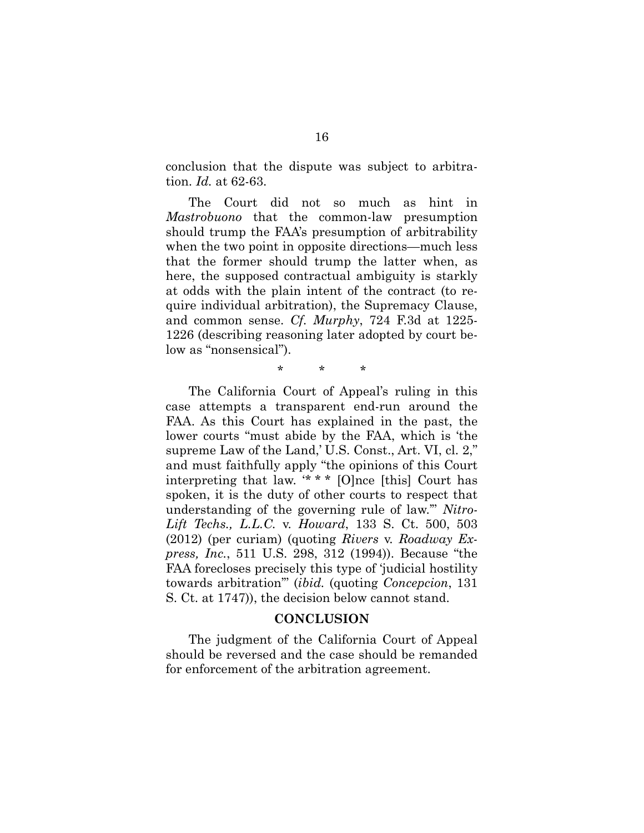conclusion that the dispute was subject to arbitration. *Id.* at 62-63.

The Court did not so much as hint in *Mastrobuono* that the common-law presumption should trump the FAA's presumption of arbitrability when the two point in opposite directions—much less that the former should trump the latter when, as here, the supposed contractual ambiguity is starkly at odds with the plain intent of the contract (to require individual arbitration), the Supremacy Clause, and common sense. *Cf. Murphy*, 724 F.3d at 1225- 1226 (describing reasoning later adopted by court below as "nonsensical").

\* \* \*

The California Court of Appeal's ruling in this case attempts a transparent end-run around the FAA. As this Court has explained in the past, the lower courts "must abide by the FAA, which is 'the supreme Law of the Land,' U.S. Const., Art. VI, cl. 2," and must faithfully apply "the opinions of this Court interpreting that law. '\* \* \* [O]nce [this] Court has spoken, it is the duty of other courts to respect that understanding of the governing rule of law.'" *Nitro-Lift Techs., L.L.C.* v. *Howard*, 133 S. Ct. 500, 503 (2012) (per curiam) (quoting *Rivers* v. *Roadway Express, Inc.*, 511 U.S. 298, 312 (1994)). Because "the FAA forecloses precisely this type of 'judicial hostility towards arbitration'" (*ibid.* (quoting *Concepcion*, 131 S. Ct. at 1747)), the decision below cannot stand.

#### **CONCLUSION**

The judgment of the California Court of Appeal should be reversed and the case should be remanded for enforcement of the arbitration agreement.